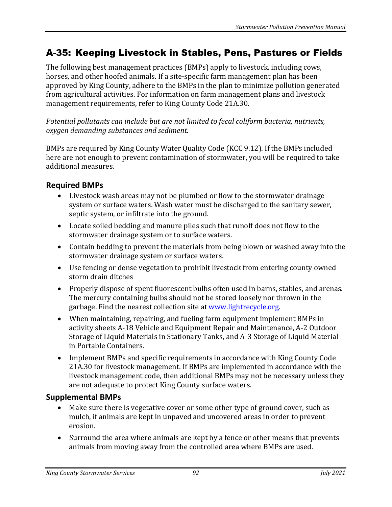# A-35: Keeping Livestock in Stables, Pens, Pastures or Fields

The following best management practices (BMPs) apply to livestock, including cows, horses, and other hoofed animals. If a site-specific farm management plan has been approved by King County, adhere to the BMPs in the plan to minimize pollution generated from agricultural activities. For information on farm management plans and livestock management requirements, refer to King County Code 21A.30.

*Potential pollutants can include but are not limited to fecal coliform bacteria, nutrients, oxygen demanding substances and sediment.*

BMPs are required by King County Water Quality Code (KCC 9.12). If the BMPs included here are not enough to prevent contamination of stormwater, you will be required to take additional measures.

#### **Required BMPs**

- Livestock wash areas may not be plumbed or flow to the stormwater drainage system or surface waters. Wash water must be discharged to the sanitary sewer, septic system, or infiltrate into the ground.
- Locate soiled bedding and manure piles such that runoff does not flow to the stormwater drainage system or to surface waters.
- Contain bedding to prevent the materials from being blown or washed away into the stormwater drainage system or surface waters.
- Use fencing or dense vegetation to prohibit livestock from entering county owned storm drain ditches
- Properly dispose of spent fluorescent bulbs often used in barns, stables, and arenas. The mercury containing bulbs should not be stored loosely nor thrown in the garbage. Find the nearest collection site at [www.lightrecycle.org.](http://www.lightrecycle.org/)
- When maintaining, repairing, and fueling farm equipment implement BMPs in activity sheets A-18 Vehicle and Equipment Repair and Maintenance, A-2 Outdoor Storage of Liquid Materials in Stationary Tanks, and A-3 Storage of Liquid Material in Portable Containers.
- Implement BMPs and specific requirements in accordance with King County Code 21A.30 for livestock management. If BMPs are implemented in accordance with the livestock management code, then additional BMPs may not be necessary unless they are not adequate to protect King County surface waters.

#### **Supplemental BMPs**

- Make sure there is vegetative cover or some other type of ground cover, such as mulch, if animals are kept in unpaved and uncovered areas in order to prevent erosion.
- Surround the area where animals are kept by a fence or other means that prevents animals from moving away from the controlled area where BMPs are used.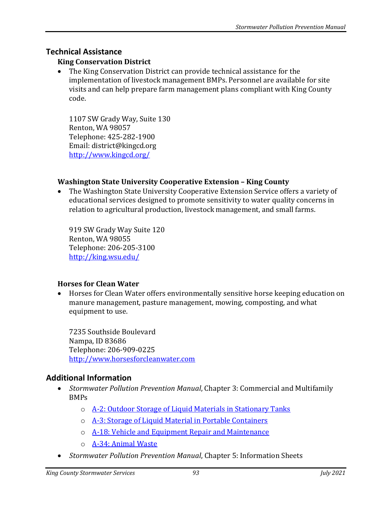### **Technical Assistance**

#### **King Conservation District**

• The King Conservation District can provide technical assistance for the implementation of livestock management BMPs. Personnel are available for site visits and can help prepare farm management plans compliant with King County code.

1107 SW Grady Way, Suite 130 Renton, WA 98057 Telephone: 425-282-1900 Email: district@kingcd.org <http://www.kingcd.org/>

#### **Washington State University Cooperative Extension – King County**

• The Washington State University Cooperative Extension Service offers a variety of educational services designed to promote sensitivity to water quality concerns in relation to agricultural production, livestock management, and small farms.

919 SW Grady Way Suite 120 Renton, WA 98055 Telephone: 206-205-3100 <http://king.wsu.edu/>

#### **Horses for Clean Water**

• Horses for Clean Water offers environmentally sensitive horse keeping education on manure management, pasture management, mowing, composting, and what equipment to use.

7235 Southside Boulevard Nampa, ID 83686 Telephone: 206-909-0225 [http://www.horsesforcleanwater.com](http://www.horsesforcleanwater.com/)

## **Additional Information**

- *Stormwater Pollution Prevention Manual*, Chapter 3: Commercial and Multifamily BMPs
	- o [A-2: Outdoor Storage of Liquid Materials in Stationary Tanks](https://your.kingcounty.gov/dnrp/library/water-and-land/stormwater/stormwater-pollution-prevention-manual/a02-jul21.pdf)
	- o [A-3: Storage of Liquid Material in Portable Containers](https://your.kingcounty.gov/dnrp/library/water-and-land/stormwater/stormwater-pollution-prevention-manual/a03-jul21.pdf)
	- o [A-18: Vehicle and Equipment Repair and Maintenance](https://your.kingcounty.gov/dnrp/library/water-and-land/stormwater/stormwater-pollution-prevention-manual/a18-jul21.pdf)
	- o [A-34: Animal Waste](https://your.kingcounty.gov/dnrp/library/water-and-land/stormwater/stormwater-pollution-prevention-manual/a34-jul21.pdf)
- *Stormwater Pollution Prevention Manual*, Chapter 5: Information Sheets